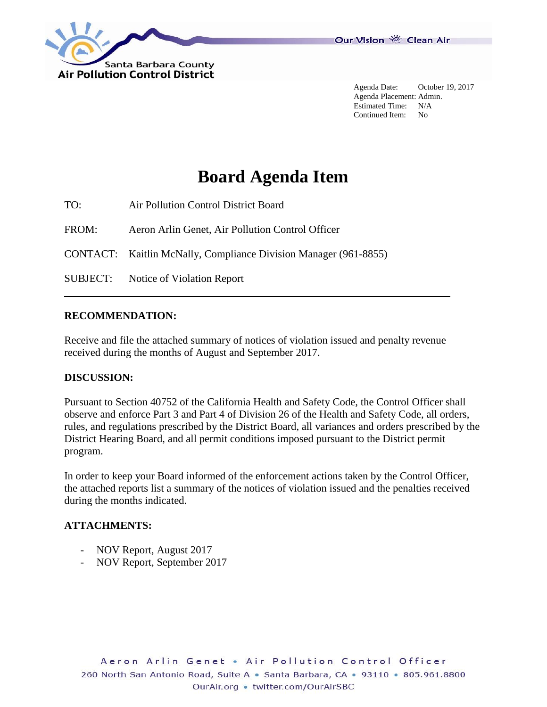

Agenda Date: October 19, 2017 Agenda Placement: Admin. Estimated Time: N/A Continued Item: No

## **Board Agenda Item**

TO: Air Pollution Control District Board

FROM: Aeron Arlin Genet, Air Pollution Control Officer

CONTACT: Kaitlin McNally, Compliance Division Manager (961-8855)

SUBJECT: Notice of Violation Report

## **RECOMMENDATION:**

Receive and file the attached summary of notices of violation issued and penalty revenue received during the months of August and September 2017.

## **DISCUSSION:**

Pursuant to Section 40752 of the California Health and Safety Code, the Control Officer shall observe and enforce Part 3 and Part 4 of Division 26 of the Health and Safety Code, all orders, rules, and regulations prescribed by the District Board, all variances and orders prescribed by the District Hearing Board, and all permit conditions imposed pursuant to the District permit program.

In order to keep your Board informed of the enforcement actions taken by the Control Officer, the attached reports list a summary of the notices of violation issued and the penalties received during the months indicated.

## **ATTACHMENTS:**

- NOV Report, August 2017
- NOV Report, September 2017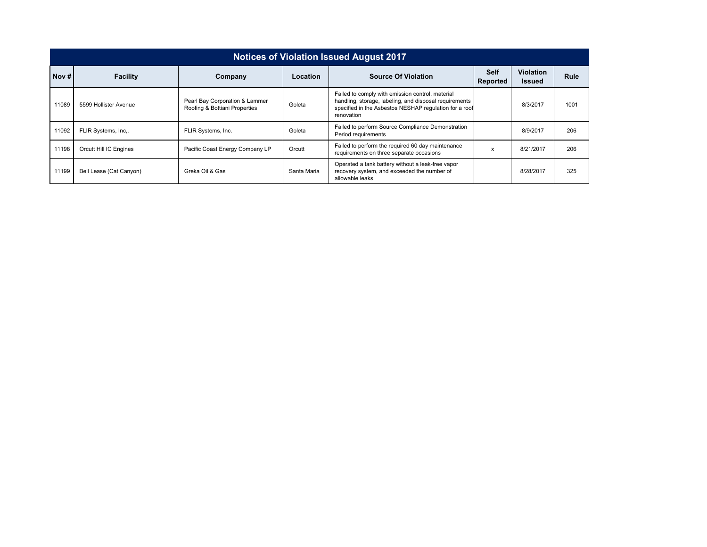| <b>Notices of Violation Issued August 2017</b> |                         |                                                                 |             |                                                                                                                                                                                    |                         |                                   |      |  |  |  |
|------------------------------------------------|-------------------------|-----------------------------------------------------------------|-------------|------------------------------------------------------------------------------------------------------------------------------------------------------------------------------------|-------------------------|-----------------------------------|------|--|--|--|
| Nov#                                           | <b>Facility</b>         | Company                                                         | Location    | <b>Source Of Violation</b>                                                                                                                                                         | <b>Self</b><br>Reported | <b>Violation</b><br><b>Issued</b> | Rule |  |  |  |
| 11089                                          | 5599 Hollister Avenue   | Pearl Bay Corporation & Lammer<br>Roofing & Bottiani Properties | Goleta      | Failed to comply with emission control, material<br>handling, storage, labeling, and disposal requirements<br>specified in the Asbestos NESHAP regulation for a roof<br>renovation |                         | 8/3/2017                          | 1001 |  |  |  |
| 11092                                          | FLIR Systems, Inc       | FLIR Systems, Inc.                                              | Goleta      | Failed to perform Source Compliance Demonstration<br>Period requirements                                                                                                           |                         | 8/9/2017                          | 206  |  |  |  |
| 11198                                          | Orcutt Hill IC Engines  | Pacific Coast Energy Company LP                                 | Orcutt      | Failed to perform the required 60 day maintenance<br>requirements on three separate occasions                                                                                      | X                       | 8/21/2017                         | 206  |  |  |  |
| 11199                                          | Bell Lease (Cat Canyon) | Greka Oil & Gas                                                 | Santa Maria | Operated a tank battery without a leak-free vapor<br>recovery system, and exceeded the number of<br>allowable leaks                                                                |                         | 8/28/2017                         | 325  |  |  |  |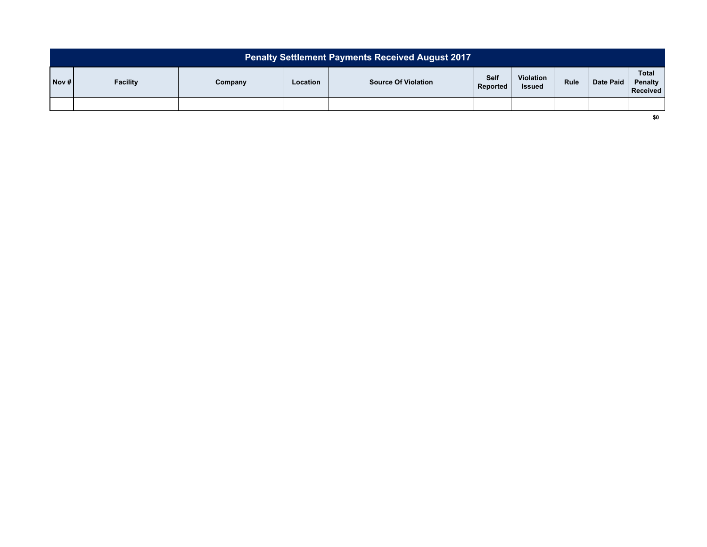| <b>Penalty Settlement Payments Received August 2017</b> |                 |         |                 |                            |                         |                                   |             |           |                                     |
|---------------------------------------------------------|-----------------|---------|-----------------|----------------------------|-------------------------|-----------------------------------|-------------|-----------|-------------------------------------|
| Nov#                                                    | <b>Facility</b> | Company | <b>Location</b> | <b>Source Of Violation</b> | <b>Self</b><br>Reported | <b>Violation</b><br><b>Issued</b> | <b>Rule</b> | Date Paid | <b>Total</b><br>Penalty<br>Received |
|                                                         |                 |         |                 |                            |                         |                                   |             |           |                                     |

**\$0**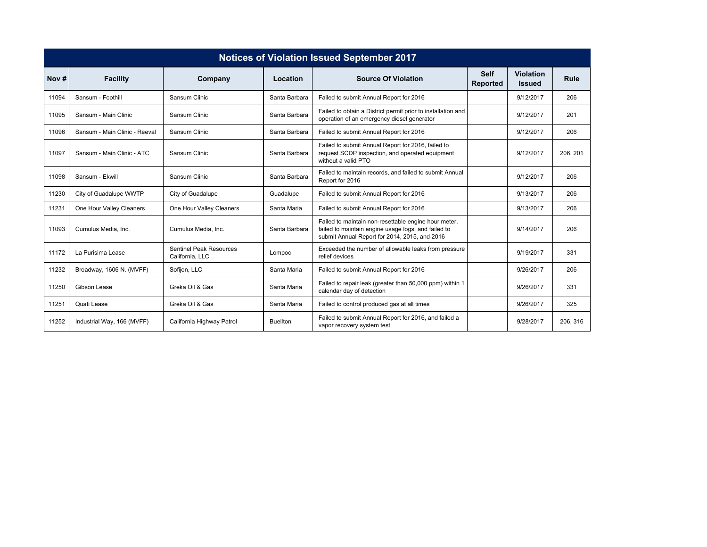| <b>Notices of Violation Issued September 2017</b> |                               |                                            |                 |                                                                                                                                                              |                                |                                   |          |  |  |  |
|---------------------------------------------------|-------------------------------|--------------------------------------------|-----------------|--------------------------------------------------------------------------------------------------------------------------------------------------------------|--------------------------------|-----------------------------------|----------|--|--|--|
| Nov $#$                                           | <b>Facility</b>               | Company                                    | Location        | <b>Source Of Violation</b>                                                                                                                                   | <b>Self</b><br><b>Reported</b> | <b>Violation</b><br><b>Issued</b> | Rule     |  |  |  |
| 11094                                             | Sansum - Foothill             | Sansum Clinic                              | Santa Barbara   | Failed to submit Annual Report for 2016                                                                                                                      |                                | 9/12/2017                         | 206      |  |  |  |
| 11095                                             | Sansum - Main Clinic          | Sansum Clinic                              | Santa Barbara   | Failed to obtain a District permit prior to installation and<br>operation of an emergency diesel generator                                                   |                                | 9/12/2017                         | 201      |  |  |  |
| 11096                                             | Sansum - Main Clinic - Reeval | Sansum Clinic                              | Santa Barbara   | Failed to submit Annual Report for 2016                                                                                                                      |                                | 9/12/2017                         | 206      |  |  |  |
| 11097                                             | Sansum - Main Clinic - ATC    | Sansum Clinic                              | Santa Barbara   | Failed to submit Annual Report for 2016, failed to<br>request SCDP inspection, and operated equipment<br>without a valid PTO                                 |                                | 9/12/2017                         | 206, 201 |  |  |  |
| 11098                                             | Sansum - Ekwill               | Sansum Clinic                              | Santa Barbara   | Failed to maintain records, and failed to submit Annual<br>Report for 2016                                                                                   |                                | 9/12/2017                         | 206      |  |  |  |
| 11230                                             | City of Guadalupe WWTP        | City of Guadalupe                          | Guadalupe       | Failed to submit Annual Report for 2016                                                                                                                      |                                | 9/13/2017                         | 206      |  |  |  |
| 11231                                             | One Hour Valley Cleaners      | One Hour Valley Cleaners                   | Santa Maria     | Failed to submit Annual Report for 2016                                                                                                                      |                                | 9/13/2017                         | 206      |  |  |  |
| 11093                                             | Cumulus Media, Inc.           | Cumulus Media, Inc.                        | Santa Barbara   | Failed to maintain non-resettable engine hour meter,<br>failed to maintain engine usage logs, and failed to<br>submit Annual Report for 2014, 2015, and 2016 |                                | 9/14/2017                         | 206      |  |  |  |
| 11172                                             | La Purisima Lease             | Sentinel Peak Resources<br>California, LLC | Lompoc          | Exceeded the number of allowable leaks from pressure<br>relief devices                                                                                       |                                | 9/19/2017                         | 331      |  |  |  |
| 11232                                             | Broadway, 1606 N. (MVFF)      | Sofijon, LLC                               | Santa Maria     | Failed to submit Annual Report for 2016                                                                                                                      |                                | 9/26/2017                         | 206      |  |  |  |
| 11250                                             | Gibson Lease                  | Greka Oil & Gas                            | Santa Maria     | Failed to repair leak (greater than 50,000 ppm) within 1<br>calendar day of detection                                                                        |                                | 9/26/2017                         | 331      |  |  |  |
| 11251                                             | Quati Lease                   | Greka Oil & Gas                            | Santa Maria     | Failed to control produced gas at all times                                                                                                                  |                                | 9/26/2017                         | 325      |  |  |  |
| 11252                                             | Industrial Way, 166 (MVFF)    | California Highway Patrol                  | <b>Buellton</b> | Failed to submit Annual Report for 2016, and failed a<br>vapor recovery system test                                                                          |                                | 9/28/2017                         | 206, 316 |  |  |  |